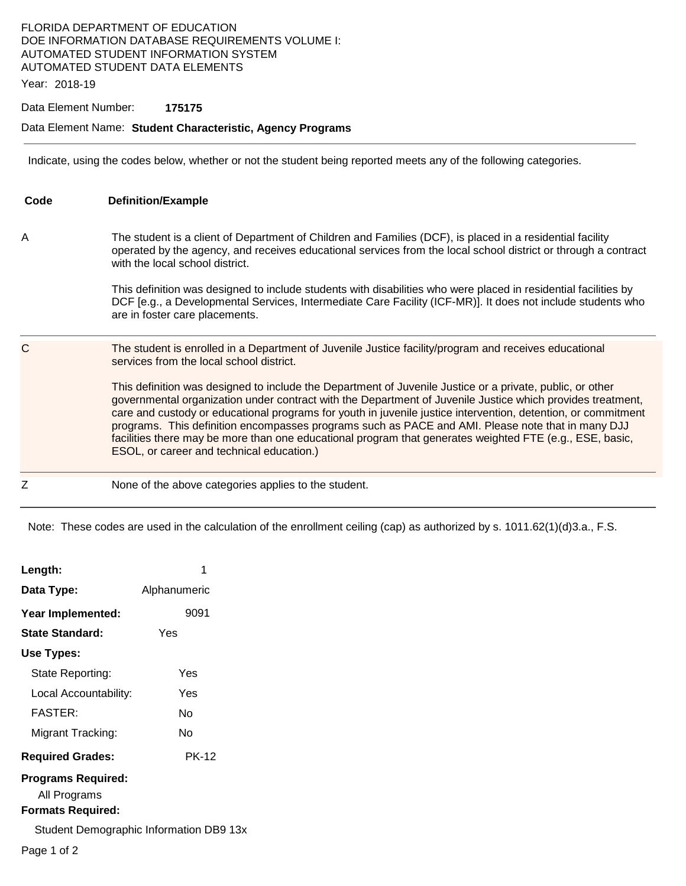## FLORIDA DEPARTMENT OF EDUCATION DOE INFORMATION DATABASE REQUIREMENTS VOLUME I: AUTOMATED STUDENT INFORMATION SYSTEM AUTOMATED STUDENT DATA ELEMENTS

Year: 2018-19

### Data Element Number: **175175**

#### Data Element Name: **Student Characteristic, Agency Programs**

Indicate, using the codes below, whether or not the student being reported meets any of the following categories.

| Code | <b>Definition/Example</b>                                                                                                                                                                                                                                                                                                                                                                                                                                                                                                                                                                                                                                                                                                                                   |
|------|-------------------------------------------------------------------------------------------------------------------------------------------------------------------------------------------------------------------------------------------------------------------------------------------------------------------------------------------------------------------------------------------------------------------------------------------------------------------------------------------------------------------------------------------------------------------------------------------------------------------------------------------------------------------------------------------------------------------------------------------------------------|
| Α    | The student is a client of Department of Children and Families (DCF), is placed in a residential facility<br>operated by the agency, and receives educational services from the local school district or through a contract<br>with the local school district.<br>This definition was designed to include students with disabilities who were placed in residential facilities by<br>DCF [e.g., a Developmental Services, Intermediate Care Facility (ICF-MR)]. It does not include students who<br>are in foster care placements.                                                                                                                                                                                                                          |
| C    | The student is enrolled in a Department of Juvenile Justice facility/program and receives educational<br>services from the local school district.<br>This definition was designed to include the Department of Juvenile Justice or a private, public, or other<br>governmental organization under contract with the Department of Juvenile Justice which provides treatment,<br>care and custody or educational programs for youth in juvenile justice intervention, detention, or commitment<br>programs. This definition encompasses programs such as PACE and AMI. Please note that in many DJJ<br>facilities there may be more than one educational program that generates weighted FTE (e.g., ESE, basic,<br>ESOL, or career and technical education.) |
| Z    | None of the above categories applies to the student.                                                                                                                                                                                                                                                                                                                                                                                                                                                                                                                                                                                                                                                                                                        |

Note: These codes are used in the calculation of the enrollment ceiling (cap) as authorized by s. 1011.62(1)(d)3.a., F.S.

| Length:                                   |              |  |  |  |
|-------------------------------------------|--------------|--|--|--|
| Data Type:                                | Alphanumeric |  |  |  |
| Year Implemented:                         | 9091         |  |  |  |
| State Standard:                           | Yes          |  |  |  |
| Use Types:                                |              |  |  |  |
| State Reporting:                          | Yes          |  |  |  |
| Local Accountability:                     | Yes          |  |  |  |
| <b>FASTER:</b>                            | N٥           |  |  |  |
| Migrant Tracking:                         | N٥           |  |  |  |
| <b>Required Grades:</b>                   | <b>PK-12</b> |  |  |  |
| <b>Programs Required:</b><br>All Programs |              |  |  |  |
| <b>Formats Required:</b>                  |              |  |  |  |
| Student Demographic Information DB9 13x   |              |  |  |  |